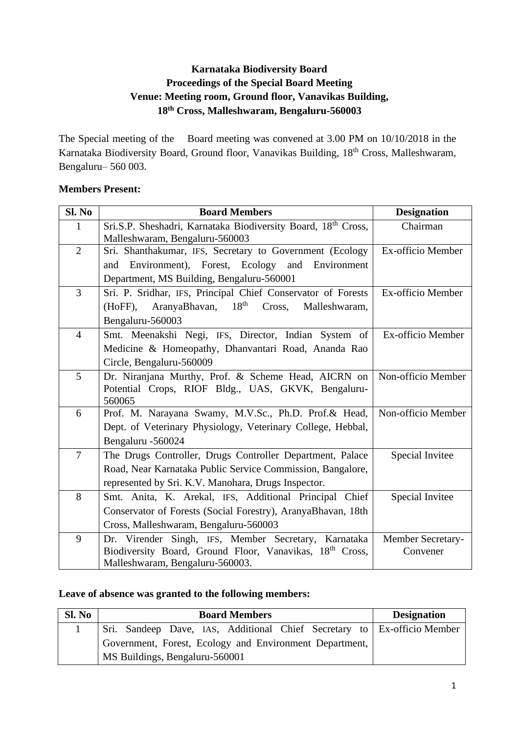# **Karnataka Biodiversity Board Proceedings of the Special Board Meeting Venue: Meeting room, Ground floor, Vanavikas Building, 18th Cross, Malleshwaram, Bengaluru-560003**

The Special meeting of the Board meeting was convened at 3.00 PM on 10/10/2018 in the Karnataka Biodiversity Board, Ground floor, Vanavikas Building, 18th Cross, Malleshwaram, Bengaluru– 560 003.

## **Members Present:**

| Sl. No         | <b>Board Members</b>                                                                            | <b>Designation</b> |
|----------------|-------------------------------------------------------------------------------------------------|--------------------|
| $\mathbf{1}$   | Sri.S.P. Sheshadri, Karnataka Biodiversity Board, 18th Cross,<br>Malleshwaram, Bengaluru-560003 | Chairman           |
| $\overline{2}$ | Sri. Shanthakumar, IFS, Secretary to Government (Ecology                                        | Ex-officio Member  |
|                | Environment), Forest, Ecology and<br>Environment<br>and                                         |                    |
|                | Department, MS Building, Bengaluru-560001                                                       |                    |
| $\overline{3}$ | Sri. P. Sridhar, IFS, Principal Chief Conservator of Forests                                    | Ex-officio Member  |
|                | 18 <sup>th</sup><br>AranyaBhavan,<br>$(HoFF)$ ,<br>Cross,<br>Malleshwaram,                      |                    |
|                | Bengaluru-560003                                                                                |                    |
| $\overline{4}$ | Smt. Meenakshi Negi, IFS, Director, Indian System of                                            | Ex-officio Member  |
|                | Medicine & Homeopathy, Dhanvantari Road, Ananda Rao                                             |                    |
|                | Circle, Bengaluru-560009                                                                        |                    |
| 5              | Dr. Niranjana Murthy, Prof. & Scheme Head, AICRN on                                             | Non-officio Member |
|                | Potential Crops, RIOF Bldg., UAS, GKVK, Bengaluru-                                              |                    |
|                | 560065                                                                                          |                    |
| 6              | Prof. M. Narayana Swamy, M.V.Sc., Ph.D. Prof.& Head,                                            | Non-officio Member |
|                | Dept. of Veterinary Physiology, Veterinary College, Hebbal,                                     |                    |
|                | Bengaluru -560024                                                                               |                    |
| $\overline{7}$ | The Drugs Controller, Drugs Controller Department, Palace                                       | Special Invitee    |
|                | Road, Near Karnataka Public Service Commission, Bangalore,                                      |                    |
|                | represented by Sri. K.V. Manohara, Drugs Inspector.                                             |                    |
| 8              | Smt. Anita, K. Arekal, IFS, Additional Principal Chief                                          | Special Invitee    |
|                | Conservator of Forests (Social Forestry), AranyaBhavan, 18th                                    |                    |
|                | Cross, Malleshwaram, Bengaluru-560003                                                           |                    |
| 9              | Dr. Virender Singh, IFS, Member Secretary, Karnataka                                            | Member Secretary-  |
|                | Biodiversity Board, Ground Floor, Vanavikas, 18th Cross,                                        | Convener           |
|                | Malleshwaram, Bengaluru-560003.                                                                 |                    |

## **Leave of absence was granted to the following members:**

| Sl. No | <b>Board Members</b>                                                    | <b>Designation</b> |
|--------|-------------------------------------------------------------------------|--------------------|
|        | Sri. Sandeep Dave, IAS, Additional Chief Secretary to Ex-officio Member |                    |
|        | Government, Forest, Ecology and Environment Department,                 |                    |
|        | MS Buildings, Bengaluru-560001                                          |                    |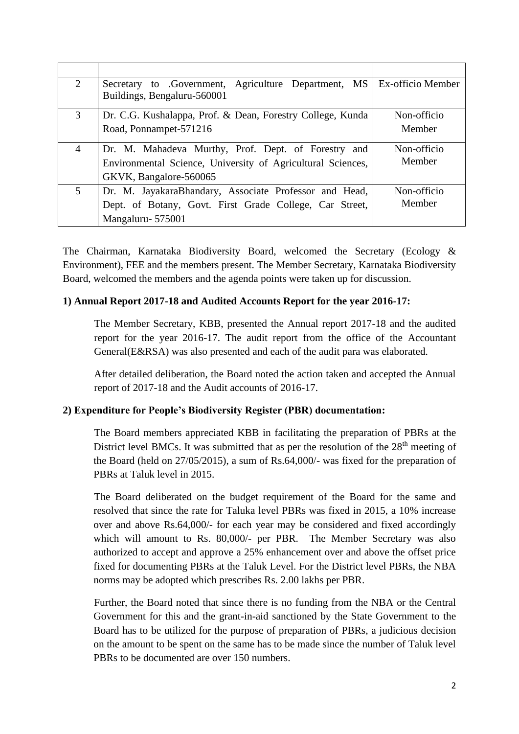| $\mathcal{D}_{\mathcal{L}}$ | Secretary to Government, Agriculture Department, MS   Ex-officio Member |             |
|-----------------------------|-------------------------------------------------------------------------|-------------|
|                             | Buildings, Bengaluru-560001                                             |             |
| 3                           | Dr. C.G. Kushalappa, Prof. & Dean, Forestry College, Kunda              | Non-officio |
|                             | Road, Ponnampet-571216                                                  | Member      |
| 4                           | Dr. M. Mahadeva Murthy, Prof. Dept. of Forestry and                     | Non-officio |
|                             | Environmental Science, University of Agricultural Sciences,             | Member      |
|                             | GKVK, Bangalore-560065                                                  |             |
| 5                           | Dr. M. JayakaraBhandary, Associate Professor and Head,                  | Non-officio |
|                             | Dept. of Botany, Govt. First Grade College, Car Street,                 | Member      |
|                             | Mangaluru-575001                                                        |             |

The Chairman, Karnataka Biodiversity Board, welcomed the Secretary (Ecology & Environment), FEE and the members present. The Member Secretary, Karnataka Biodiversity Board, welcomed the members and the agenda points were taken up for discussion.

## **1) Annual Report 2017-18 and Audited Accounts Report for the year 2016-17:**

The Member Secretary, KBB, presented the Annual report 2017-18 and the audited report for the year 2016-17. The audit report from the office of the Accountant General(E&RSA) was also presented and each of the audit para was elaborated.

After detailed deliberation, the Board noted the action taken and accepted the Annual report of 2017-18 and the Audit accounts of 2016-17.

## **2) Expenditure for People's Biodiversity Register (PBR) documentation:**

The Board members appreciated KBB in facilitating the preparation of PBRs at the District level BMCs. It was submitted that as per the resolution of the  $28<sup>th</sup>$  meeting of the Board (held on 27/05/2015), a sum of Rs.64,000/- was fixed for the preparation of PBRs at Taluk level in 2015.

The Board deliberated on the budget requirement of the Board for the same and resolved that since the rate for Taluka level PBRs was fixed in 2015, a 10% increase over and above Rs.64,000/- for each year may be considered and fixed accordingly which will amount to Rs. 80,000/- per PBR. The Member Secretary was also authorized to accept and approve a 25% enhancement over and above the offset price fixed for documenting PBRs at the Taluk Level. For the District level PBRs, the NBA norms may be adopted which prescribes Rs. 2.00 lakhs per PBR.

Further, the Board noted that since there is no funding from the NBA or the Central Government for this and the grant-in-aid sanctioned by the State Government to the Board has to be utilized for the purpose of preparation of PBRs, a judicious decision on the amount to be spent on the same has to be made since the number of Taluk level PBRs to be documented are over 150 numbers.